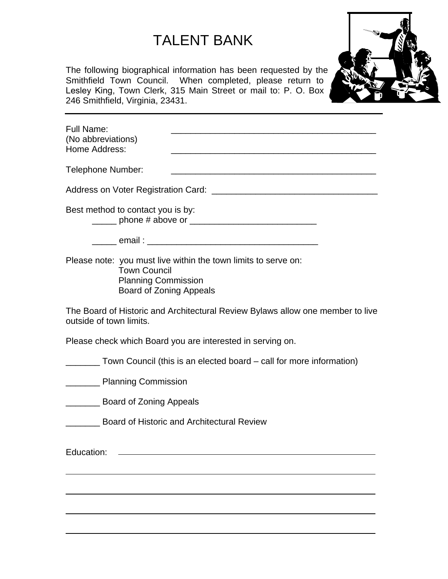## TALENT BANK

The following biographical information has been requested by the Smithfield Town Council. When completed, please return to Lesley King, Town Clerk, 315 Main Street or mail to: P. O. Box 246 Smithfield, Virginia, 23431.



| <b>Full Name:</b><br>(No abbreviations)<br>Home Address:                     |                                                                                                                      |
|------------------------------------------------------------------------------|----------------------------------------------------------------------------------------------------------------------|
| Telephone Number:                                                            | <u> 1989 - Johann Stein, mars an deutscher Stein und der Stein und der Stein und der Stein und der Stein und der</u> |
|                                                                              |                                                                                                                      |
| Best method to contact you is by:                                            |                                                                                                                      |
|                                                                              |                                                                                                                      |
| <b>Town Council</b><br><b>Planning Commission</b><br>Board of Zoning Appeals | Please note: you must live within the town limits to serve on:                                                       |
| outside of town limits.                                                      | The Board of Historic and Architectural Review Bylaws allow one member to live                                       |
|                                                                              | Please check which Board you are interested in serving on.                                                           |

Town Council (this is an elected board – call for more information)

**Example 2** Planning Commission

**Example 20 Board of Zoning Appeals** 

\_\_\_\_\_\_\_ Board of Historic and Architectural Review

Education: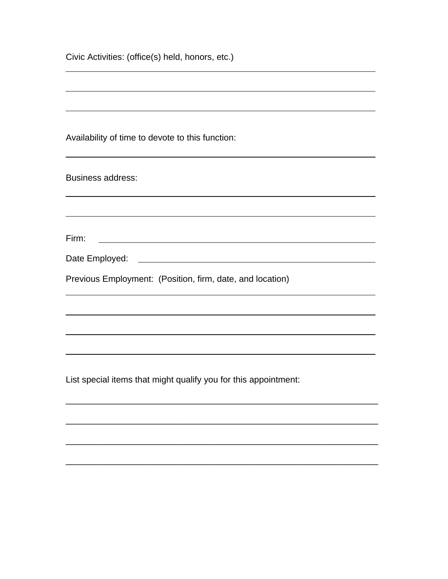| Civic Activities: (office(s) held, honors, etc.)                      |  |  |
|-----------------------------------------------------------------------|--|--|
|                                                                       |  |  |
|                                                                       |  |  |
|                                                                       |  |  |
| Availability of time to devote to this function:                      |  |  |
|                                                                       |  |  |
| <b>Business address:</b>                                              |  |  |
|                                                                       |  |  |
| Firm:                                                                 |  |  |
| <u> 1980 - Johann Barbara, martxa alemaniar arg</u><br>Date Employed: |  |  |
| Previous Employment: (Position, firm, date, and location)             |  |  |
|                                                                       |  |  |
|                                                                       |  |  |
|                                                                       |  |  |
| List special items that might qualify you for this appointment:       |  |  |
|                                                                       |  |  |
|                                                                       |  |  |

\_\_\_\_\_\_\_\_\_\_\_\_\_\_\_\_\_\_\_\_\_\_\_\_\_\_\_\_\_\_\_\_\_\_\_\_\_\_\_\_\_\_\_\_\_\_\_\_\_\_\_\_\_\_\_\_\_\_\_\_\_\_\_\_

\_\_\_\_\_\_\_\_\_\_\_\_\_\_\_\_\_\_\_\_\_\_\_\_\_\_\_\_\_\_\_\_\_\_\_\_\_\_\_\_\_\_\_\_\_\_\_\_\_\_\_\_\_\_\_\_\_\_\_\_\_\_\_\_